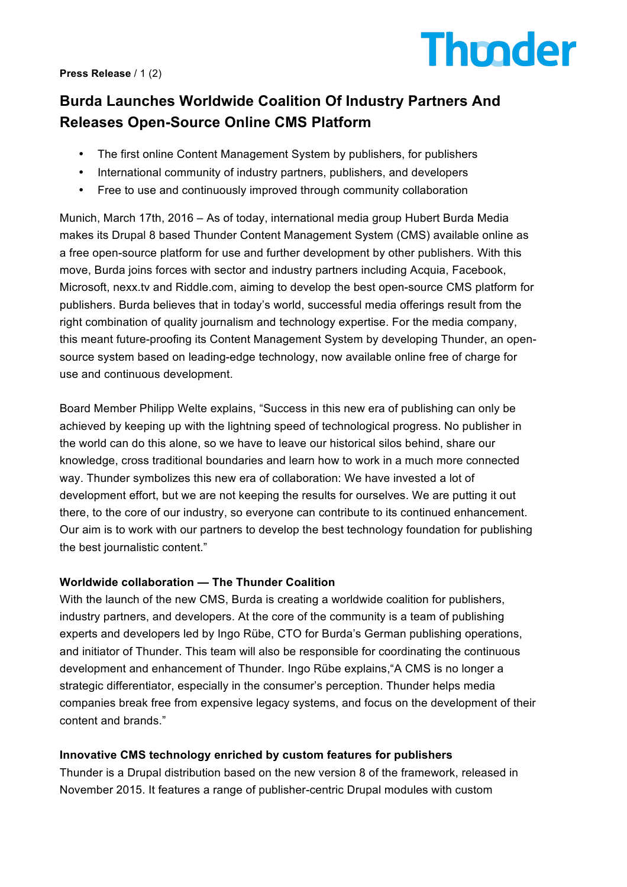

#### **Press Release** / 1 (2)

# **Burda Launches Worldwide Coalition Of Industry Partners And Releases Open-Source Online CMS Platform**

- The first online Content Management System by publishers, for publishers
- International community of industry partners, publishers, and developers
- Free to use and continuously improved through community collaboration

Munich, March 17th, 2016 – As of today, international media group Hubert Burda Media makes its Drupal 8 based Thunder Content Management System (CMS) available online as a free open-source platform for use and further development by other publishers. With this move, Burda joins forces with sector and industry partners including Acquia, Facebook, Microsoft, nexx.tv and Riddle.com, aiming to develop the best open-source CMS platform for publishers. Burda believes that in today's world, successful media offerings result from the right combination of quality journalism and technology expertise. For the media company, this meant future-proofing its Content Management System by developing Thunder, an opensource system based on leading-edge technology, now available online free of charge for use and continuous development.

Board Member Philipp Welte explains, "Success in this new era of publishing can only be achieved by keeping up with the lightning speed of technological progress. No publisher in the world can do this alone, so we have to leave our historical silos behind, share our knowledge, cross traditional boundaries and learn how to work in a much more connected way. Thunder symbolizes this new era of collaboration: We have invested a lot of development effort, but we are not keeping the results for ourselves. We are putting it out there, to the core of our industry, so everyone can contribute to its continued enhancement. Our aim is to work with our partners to develop the best technology foundation for publishing the best journalistic content."

## **Worldwide collaboration — The Thunder Coalition**

With the launch of the new CMS, Burda is creating a worldwide coalition for publishers, industry partners, and developers. At the core of the community is a team of publishing experts and developers led by Ingo Rübe, CTO for Burda's German publishing operations, and initiator of Thunder. This team will also be responsible for coordinating the continuous development and enhancement of Thunder. Ingo Rübe explains,"A CMS is no longer a strategic differentiator, especially in the consumer's perception. Thunder helps media companies break free from expensive legacy systems, and focus on the development of their content and brands."

## **Innovative CMS technology enriched by custom features for publishers**

Thunder is a Drupal distribution based on the new version 8 of the framework, released in November 2015. It features a range of publisher-centric Drupal modules with custom